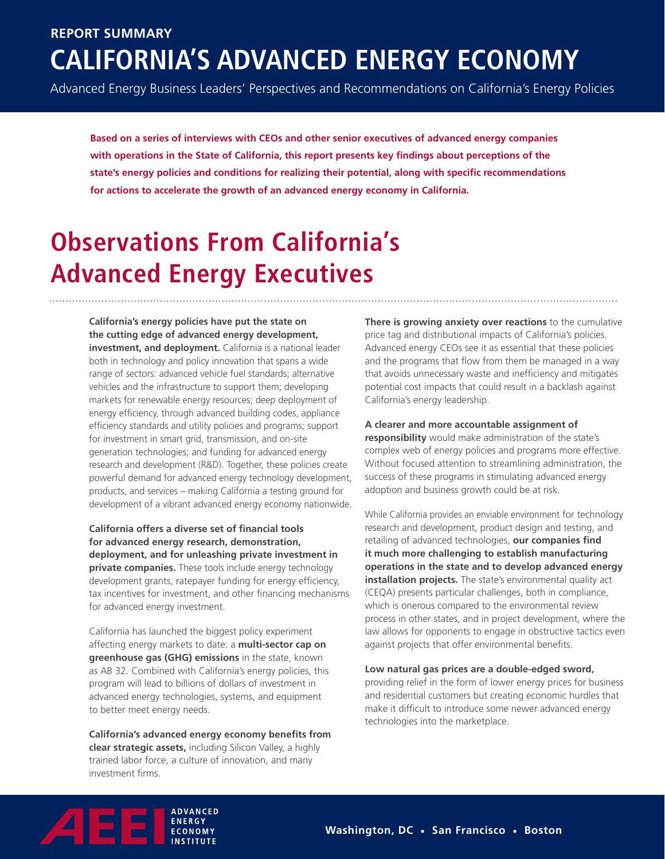### **California's Advanced Energy Economy Report Summary**

Advanced Energy Business Leaders' Perspectives and Recommendations on California's Energy Policies

**Based on a series of interviews with CEOs and other senior executives of advanced energy companies with operations in the State of California, this report presents key findings about perceptions of the state's energy policies and conditions for realizing their potential, along with specific recommendations for actions to accelerate the growth of an advanced energy economy in California.**

# **Observations From California's Advanced Energy Executives**

**California's energy policies have put the state on the cutting edge of advanced energy development, investment, and deployment.** California is a national leader both in technology and policy innovation that spans a wide range of sectors: advanced vehicle fuel standards; alternative vehicles and the infrastructure to support them; developing markets for renewable energy resources; deep deployment of energy efficiency, through advanced building codes, appliance efficiency standards and utility policies and programs; support for investment in smart grid, transmission, and on-site generation technologies; and funding for advanced energy research and development (R&D). Together, these policies create powerful demand for advanced energy technology development, products, and services – making California a testing ground for development of a vibrant advanced energy economy nationwide.

**California offers a diverse set of financial tools for advanced energy research, demonstration, deployment, and for unleashing private investment in private companies.** These tools include energy technology development grants, ratepayer funding for energy efficiency, tax incentives for investment, and other financing mechanisms for advanced energy investment.

California has launched the biggest policy experiment affecting energy markets to date: a **multi-sector cap on greenhouse gas (GHG) emissions** in the state, known as AB 32. Combined with California's energy policies, this program will lead to billions of dollars of investment in advanced energy technologies, systems, and equipment to better meet energy needs.

**California's advanced energy economy benefits from clear strategic assets,** including Silicon Valley, a highly trained labor force, a culture of innovation, and many investment firms.

**There is growing anxiety over reactions** to the cumulative price tag and distributional impacts of California's policies. Advanced energy CEOs see it as essential that these policies and the programs that flow from them be managed in a way that avoids unnecessary waste and inefficiency and mitigates potential cost impacts that could result in a backlash against California's energy leadership.

#### **A clearer and more accountable assignment of**

**responsibility** would make administration of the state's complex web of energy policies and programs more effective. Without focused attention to streamlining administration, the success of these programs in stimulating advanced energy adoption and business growth could be at risk.

While California provides an enviable environment for technology research and development, product design and testing, and retailing of advanced technologies, **our companies find it much more challenging to establish manufacturing operations in the state and to develop advanced energy installation projects.** The state's environmental quality act (CEQA) presents particular challenges, both in compliance, which is onerous compared to the environmental review process in other states, and in project development, where the law allows for opponents to engage in obstructive tactics even against projects that offer environmental benefits.

#### **Low natural gas prices are a double-edged sword,**

providing relief in the form of lower energy prices for business and residential customers but creating economic hurdles that make it difficult to introduce some newer advanced energy technologies into the marketplace.